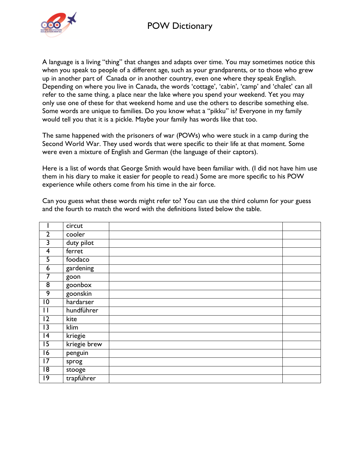## POW Dictionary



A language is a living "thing" that changes and adapts over time. You may sometimes notice this when you speak to people of a different age, such as your grandparents, or to those who grew up in another part of Canada or in another country, even one where they speak English. Depending on where you live in Canada, the words 'cottage', 'cabin', 'camp' and 'chalet' can all refer to the same thing, a place near the lake where you spend your weekend. Yet you may only use one of these for that weekend home and use the others to describe something else. Some words are unique to families. Do you know what a "pikku" is? Everyone in my family would tell you that it is a pickle. Maybe your family has words like that too.

The same happened with the prisoners of war (POWs) who were stuck in a camp during the Second World War. They used words that were specific to their life at that moment. Some were even a mixture of English and German (the language of their captors).

Here is a list of words that George Smith would have been familiar with. (I did not have him use them in his diary to make it easier for people to read.) Some are more specific to his POW experience while others come from his time in the air force.

Can you guess what these words might refer to? You can use the third column for your guess and the fourth to match the word with the definitions listed below the table.

|                 | circut       |  |
|-----------------|--------------|--|
| $\overline{2}$  | cooler       |  |
| 3               | duty pilot   |  |
| $\overline{4}$  | ferret       |  |
| 5               | foodaco      |  |
| 6               | gardening    |  |
| 7               | goon         |  |
| $\overline{8}$  | goonbox      |  |
| 9               | goonskin     |  |
| $\overline{10}$ | hardarser    |  |
| П               | hundführer   |  |
| $\overline{12}$ | kite         |  |
| $\overline{13}$ | klim         |  |
| $\overline{14}$ | kriegie      |  |
| $\overline{15}$ | kriegie brew |  |
| $\overline{16}$ | penguin      |  |
| $\overline{17}$ | sprog        |  |
| 18              | stooge       |  |
| 19              | trapführer   |  |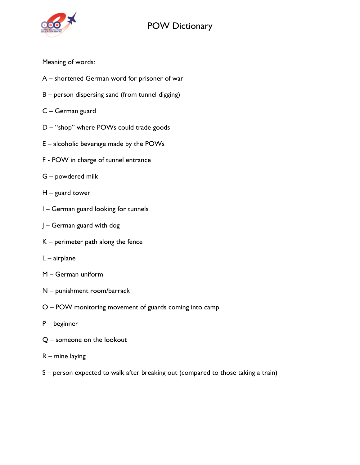## POW Dictionary



## Meaning of words:

- A shortened German word for prisoner of war
- B person dispersing sand (from tunnel digging)
- C German guard
- D "shop" where POWs could trade goods
- E alcoholic beverage made by the POWs
- F POW in charge of tunnel entrance
- G powdered milk
- H guard tower
- I German guard looking for tunnels
- J German guard with dog
- K perimeter path along the fence
- L airplane
- M German uniform
- N punishment room/barrack
- O POW monitoring movement of guards coming into camp
- P beginner
- Q someone on the lookout
- R mine laying
- S person expected to walk after breaking out (compared to those taking a train)